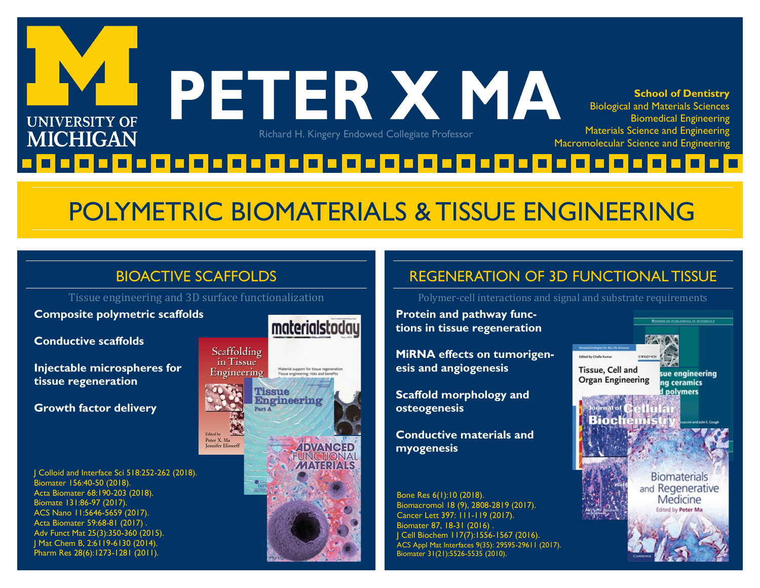

## POLYMETRIC BIOMATERIALS & TISSUE ENGINEERING

#### BIOACTIVE SCAFFOLDS

Tissue engineering and 3D surface functionalization

Peter X. Ma

**Composite polymetric scaffolds**

**Conductive scaffolds**

**Injectable microspheres for tissue regeneration**

**Growth factor delivery** 

J Colloid and Interface Sci 518:252-262 (2018). Biomater 156:40-50 (2018). Acta Biomater 68:190-203 (2018). Biomate 131:86-97 (2017). ACS Nano 11:5646-5659 (2017). Acta Biomater 59:68-81 (2017) . Adv Funct Mat 25(3):350-360 (2015). J Mat Chem B, 2:6119-6130 (2014). Pharm Res 28(6):1273-1281 (2011).





#### REGENERATION OF 3D FUNCTIONAL TISSUE

Polymer-cell interactions and signal and substrate requirements

**Protein and pathway functions in tissue regeneration**

**MiRNA effects on tumorigenesis and angiogenesis**

**Scaffold morphology and osteogenesis**

**Conductive materials and myogenesis**

Bone Res 6(1):10 (2018). Biomacromol 18 (9), 2808-2819 (2017). Cancer Lett 397: 111-119 (2017). Biomater 87, 18-31 (2016) . J Cell Biochem 117(7):1556-1567 (2016). ACS Appl Mat Interfaces 9(35): 29595-29611 (2017). Biomater 31(21):5526-5535 (2010).